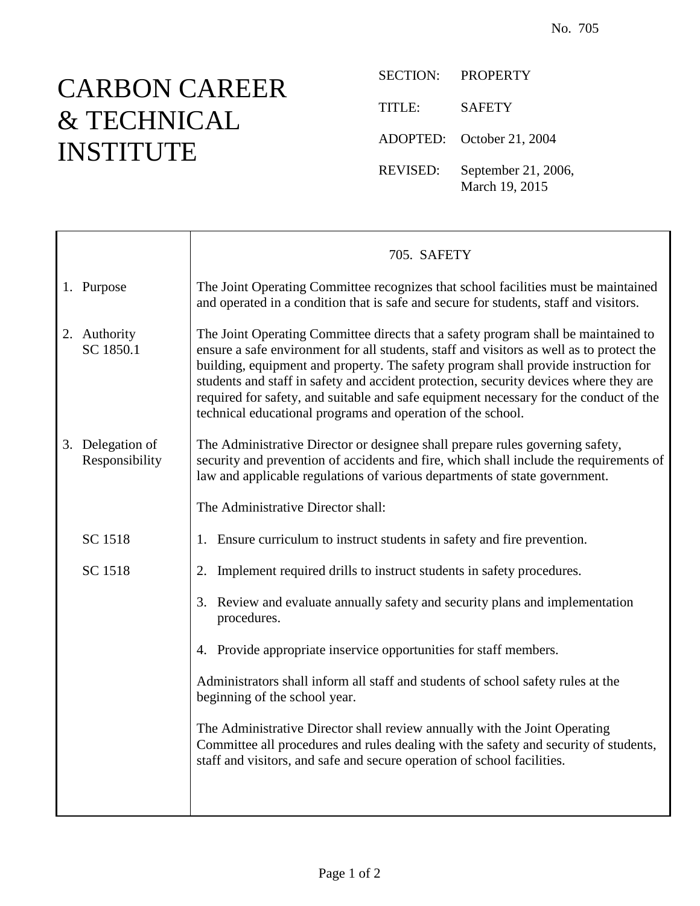## CARBON CAREER & TECHNICAL INSTITUTE

 $\mathsf{r}$ 

SECTION: PROPERTY TITLE: SAFETY ADOPTED: October 21, 2004 REVISED: September 21, 2006, March 19, 2015

|                                    | 705. SAFETY                                                                                                                                                                                                                                                                                                                                                                                                                                                                                                           |
|------------------------------------|-----------------------------------------------------------------------------------------------------------------------------------------------------------------------------------------------------------------------------------------------------------------------------------------------------------------------------------------------------------------------------------------------------------------------------------------------------------------------------------------------------------------------|
| 1. Purpose                         | The Joint Operating Committee recognizes that school facilities must be maintained<br>and operated in a condition that is safe and secure for students, staff and visitors.                                                                                                                                                                                                                                                                                                                                           |
| 2. Authority<br>SC 1850.1          | The Joint Operating Committee directs that a safety program shall be maintained to<br>ensure a safe environment for all students, staff and visitors as well as to protect the<br>building, equipment and property. The safety program shall provide instruction for<br>students and staff in safety and accident protection, security devices where they are<br>required for safety, and suitable and safe equipment necessary for the conduct of the<br>technical educational programs and operation of the school. |
| 3. Delegation of<br>Responsibility | The Administrative Director or designee shall prepare rules governing safety,<br>security and prevention of accidents and fire, which shall include the requirements of<br>law and applicable regulations of various departments of state government.                                                                                                                                                                                                                                                                 |
|                                    | The Administrative Director shall:                                                                                                                                                                                                                                                                                                                                                                                                                                                                                    |
| SC 1518                            | 1. Ensure curriculum to instruct students in safety and fire prevention.                                                                                                                                                                                                                                                                                                                                                                                                                                              |
| SC 1518                            | Implement required drills to instruct students in safety procedures.<br>2.                                                                                                                                                                                                                                                                                                                                                                                                                                            |
|                                    | 3. Review and evaluate annually safety and security plans and implementation<br>procedures.                                                                                                                                                                                                                                                                                                                                                                                                                           |
|                                    | 4. Provide appropriate inservice opportunities for staff members.                                                                                                                                                                                                                                                                                                                                                                                                                                                     |
|                                    | Administrators shall inform all staff and students of school safety rules at the<br>beginning of the school year.                                                                                                                                                                                                                                                                                                                                                                                                     |
|                                    | The Administrative Director shall review annually with the Joint Operating<br>Committee all procedures and rules dealing with the safety and security of students,<br>staff and visitors, and safe and secure operation of school facilities.                                                                                                                                                                                                                                                                         |
|                                    |                                                                                                                                                                                                                                                                                                                                                                                                                                                                                                                       |